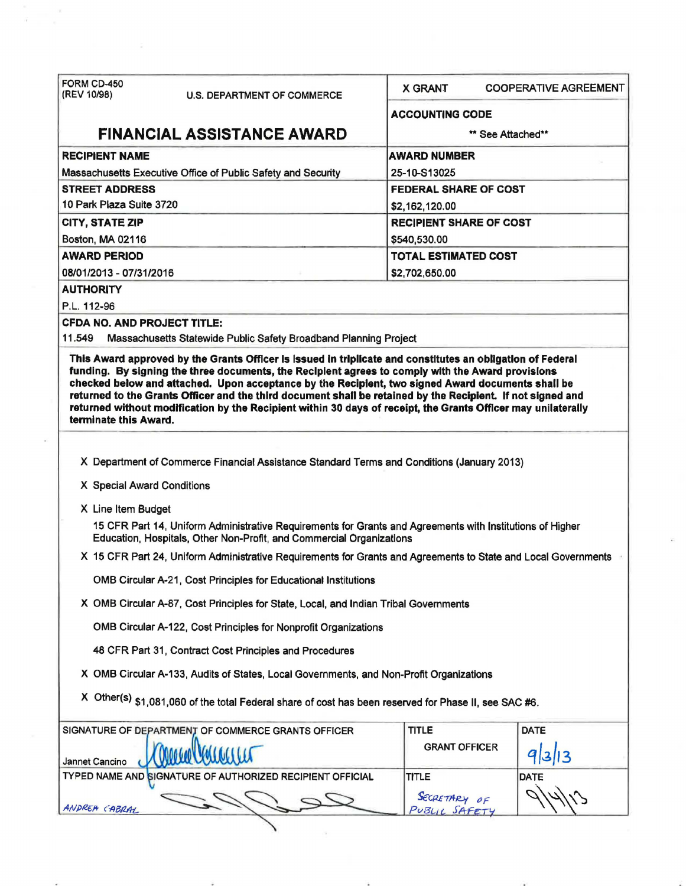| FORM CD-450                                                                                                    |                                                                                                                                                                                                                                                                                                                                                                                                                                        |                                |                              |  |  |  |
|----------------------------------------------------------------------------------------------------------------|----------------------------------------------------------------------------------------------------------------------------------------------------------------------------------------------------------------------------------------------------------------------------------------------------------------------------------------------------------------------------------------------------------------------------------------|--------------------------------|------------------------------|--|--|--|
| (REV 10/98)                                                                                                    | <b>U.S. DEPARTMENT OF COMMERCE</b>                                                                                                                                                                                                                                                                                                                                                                                                     | <b>X GRANT</b>                 | <b>COOPERATIVE AGREEMENT</b> |  |  |  |
|                                                                                                                |                                                                                                                                                                                                                                                                                                                                                                                                                                        | <b>ACCOUNTING CODE</b>         |                              |  |  |  |
|                                                                                                                | <b>FINANCIAL ASSISTANCE AWARD</b>                                                                                                                                                                                                                                                                                                                                                                                                      |                                | ** See Attached**            |  |  |  |
| <b>RECIPIENT NAME</b>                                                                                          |                                                                                                                                                                                                                                                                                                                                                                                                                                        | <b>AWARD NUMBER</b>            |                              |  |  |  |
|                                                                                                                | Massachusetts Executive Office of Public Safety and Security                                                                                                                                                                                                                                                                                                                                                                           | 25-10-S13025                   |                              |  |  |  |
| <b>STREET ADDRESS</b>                                                                                          |                                                                                                                                                                                                                                                                                                                                                                                                                                        | <b>FEDERAL SHARE OF COST</b>   |                              |  |  |  |
| 10 Park Plaza Suite 3720                                                                                       |                                                                                                                                                                                                                                                                                                                                                                                                                                        | \$2,162,120.00                 |                              |  |  |  |
| <b>CITY, STATE ZIP</b>                                                                                         |                                                                                                                                                                                                                                                                                                                                                                                                                                        | <b>RECIPIENT SHARE OF COST</b> |                              |  |  |  |
| Boston, MA 02116                                                                                               |                                                                                                                                                                                                                                                                                                                                                                                                                                        | \$540,530.00                   |                              |  |  |  |
| <b>AWARD PERIOD</b>                                                                                            |                                                                                                                                                                                                                                                                                                                                                                                                                                        |                                | <b>TOTAL ESTIMATED COST</b>  |  |  |  |
| 08/01/2013 - 07/31/2016                                                                                        |                                                                                                                                                                                                                                                                                                                                                                                                                                        | \$2,702,650.00                 |                              |  |  |  |
| <b>AUTHORITY</b>                                                                                               |                                                                                                                                                                                                                                                                                                                                                                                                                                        |                                |                              |  |  |  |
| P.L. 112-96                                                                                                    |                                                                                                                                                                                                                                                                                                                                                                                                                                        |                                |                              |  |  |  |
| <b>CFDA NO. AND PROJECT TITLE:</b><br>11.549                                                                   |                                                                                                                                                                                                                                                                                                                                                                                                                                        |                                |                              |  |  |  |
|                                                                                                                | Massachusetts Statewide Public Safety Broadband Planning Project<br>This Award approved by the Grants Officer is issued in triplicate and constitutes an obligation of Federal                                                                                                                                                                                                                                                         |                                |                              |  |  |  |
| terminate this Award.                                                                                          | funding. By signing the three documents, the Recipient agrees to comply with the Award provisions<br>checked below and attached. Upon acceptance by the Recipient, two signed Award documents shall be<br>returned to the Grants Officer and the third document shall be retained by the Recipient. If not signed and<br>returned without modification by the Recipient within 30 days of receipt, the Grants Officer may unilaterally |                                |                              |  |  |  |
|                                                                                                                |                                                                                                                                                                                                                                                                                                                                                                                                                                        |                                |                              |  |  |  |
|                                                                                                                | X Department of Commerce Financial Assistance Standard Terms and Conditions (January 2013)                                                                                                                                                                                                                                                                                                                                             |                                |                              |  |  |  |
| X Special Award Conditions                                                                                     |                                                                                                                                                                                                                                                                                                                                                                                                                                        |                                |                              |  |  |  |
| X Line Item Budget                                                                                             |                                                                                                                                                                                                                                                                                                                                                                                                                                        |                                |                              |  |  |  |
|                                                                                                                | 15 CFR Part 14, Uniform Administrative Requirements for Grants and Agreements with Institutions of Higher<br>Education, Hospitals, Other Non-Profit, and Commercial Organizations                                                                                                                                                                                                                                                      |                                |                              |  |  |  |
| X 15 CFR Part 24, Uniform Administrative Requirements for Grants and Agreements to State and Local Governments |                                                                                                                                                                                                                                                                                                                                                                                                                                        |                                |                              |  |  |  |
|                                                                                                                | OMB Circular A-21, Cost Principles for Educational Institutions                                                                                                                                                                                                                                                                                                                                                                        |                                |                              |  |  |  |
| X OMB Circular A-87, Cost Principles for State, Local, and Indian Tribal Governments                           |                                                                                                                                                                                                                                                                                                                                                                                                                                        |                                |                              |  |  |  |
| OMB Circular A-122, Cost Principles for Nonprofit Organizations                                                |                                                                                                                                                                                                                                                                                                                                                                                                                                        |                                |                              |  |  |  |
|                                                                                                                |                                                                                                                                                                                                                                                                                                                                                                                                                                        |                                |                              |  |  |  |
|                                                                                                                | 48 CFR Part 31, Contract Cost Principles and Procedures                                                                                                                                                                                                                                                                                                                                                                                |                                |                              |  |  |  |
|                                                                                                                | X OMB Circular A-133, Audits of States, Local Governments, and Non-Profit Organizations                                                                                                                                                                                                                                                                                                                                                |                                |                              |  |  |  |
|                                                                                                                | X Other(s) \$1,081,060 of the total Federal share of cost has been reserved for Phase II, see SAC #6.                                                                                                                                                                                                                                                                                                                                  |                                |                              |  |  |  |
|                                                                                                                | SIGNATURE OF DEPARTMENT OF COMMERCE GRANTS OFFICER                                                                                                                                                                                                                                                                                                                                                                                     | <b>TITLE</b>                   | <b>DATE</b>                  |  |  |  |
| Jannet Cancino                                                                                                 |                                                                                                                                                                                                                                                                                                                                                                                                                                        | <b>GRANT OFFICER</b>           | 9313                         |  |  |  |
|                                                                                                                | TYPED NAME AND SIGNATURE OF AUTHORIZED RECIPIENT OFFICIAL                                                                                                                                                                                                                                                                                                                                                                              | TITLE                          | <b>DATE</b>                  |  |  |  |
|                                                                                                                |                                                                                                                                                                                                                                                                                                                                                                                                                                        | SECRETARY OF                   |                              |  |  |  |

 $\alpha$ 

 $\sim$ 

 $\bar{\tau}$